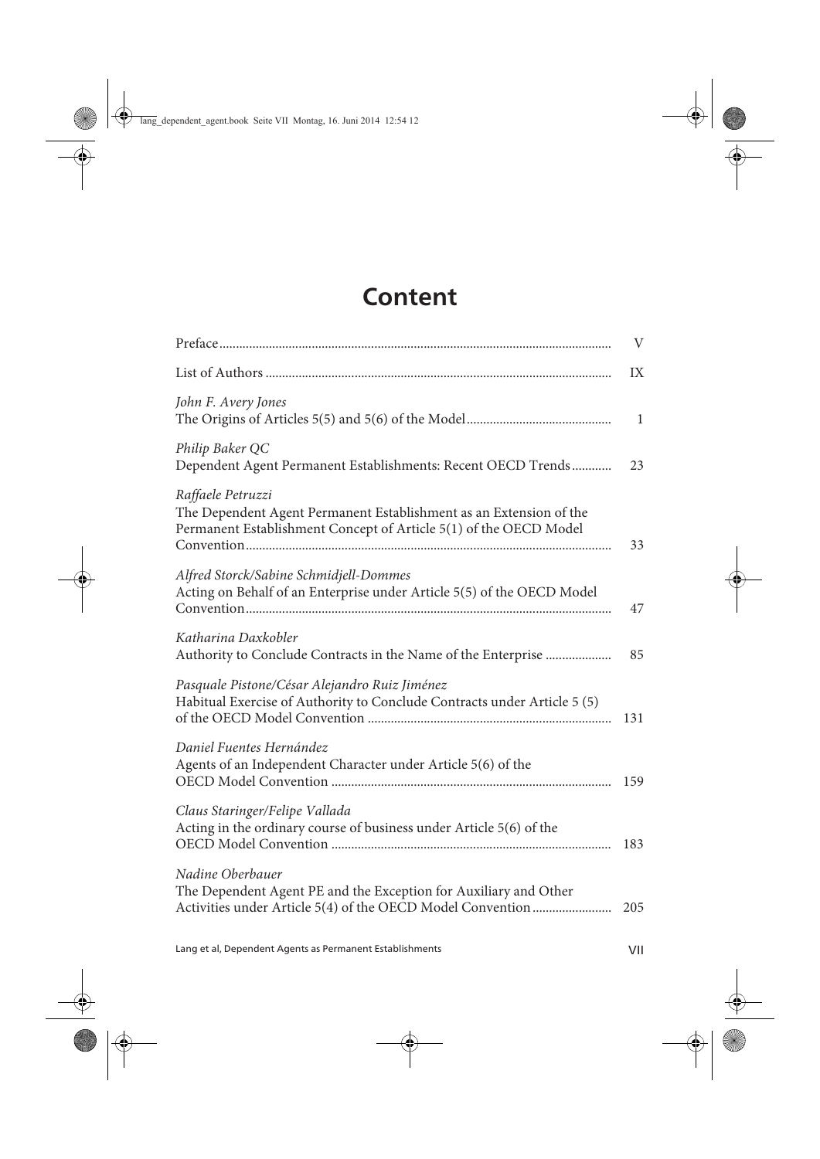## **Content**

|                                                                                                                                                              | $\mathbf{V}$ |
|--------------------------------------------------------------------------------------------------------------------------------------------------------------|--------------|
|                                                                                                                                                              | IX           |
| John F. Avery Jones                                                                                                                                          | 1            |
| Philip Baker QC<br>Dependent Agent Permanent Establishments: Recent OECD Trends                                                                              | 23           |
| Raffaele Petruzzi<br>The Dependent Agent Permanent Establishment as an Extension of the<br>Permanent Establishment Concept of Article 5(1) of the OECD Model | 33           |
| Alfred Storck/Sabine Schmidjell-Dommes<br>Acting on Behalf of an Enterprise under Article 5(5) of the OECD Model                                             | 47           |
| Katharina Daxkobler<br>Authority to Conclude Contracts in the Name of the Enterprise                                                                         | 85           |
| Pasquale Pistone/César Alejandro Ruiz Jiménez<br>Habitual Exercise of Authority to Conclude Contracts under Article 5 (5)                                    | 131          |
| Daniel Fuentes Hernández<br>Agents of an Independent Character under Article 5(6) of the                                                                     | 159          |
| Claus Staringer/Felipe Vallada<br>Acting in the ordinary course of business under Article 5(6) of the                                                        | 183          |
| Nadine Oberbauer<br>The Dependent Agent PE and the Exception for Auxiliary and Other<br>Activities under Article 5(4) of the OECD Model Convention           | 205          |